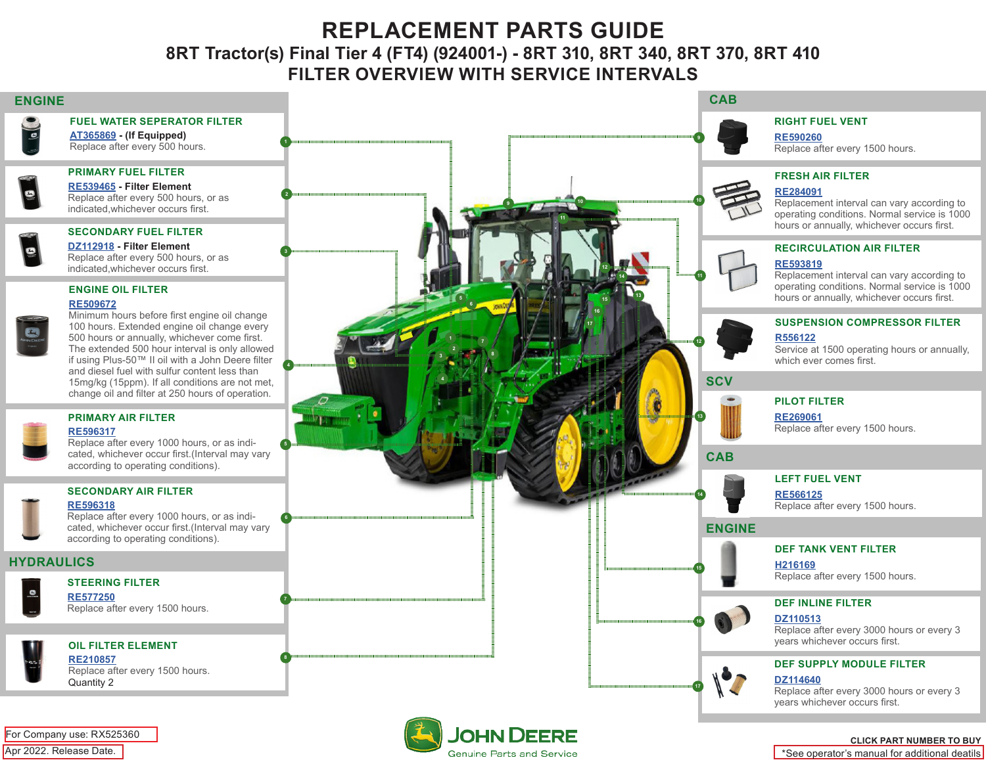# **REPLACEMENT PARTS GUIDE 8RT Tractor(s) Final Tier 4 (FT4) (924001-) - 8RT 310, 8RT 340, 8RT 370, 8RT 410 FILTER OVERVIEW WITH SERVICE INTERVALS**

**3**

**4**

**2**

**1**

 **5**

 **6**

 **7**

 **8**

 **9**

## **ENGINE CAB**

### **FUEL WATER SEPERATOR FILTER**

 $\overline{\mathcal{L}}$ **[AT365869](https://jdparts.deere.com/servlet/com.deere.u90.jdparts.view.servlets.partinfocontroller.PartDetails?screenName=JDSearch&&partSearchNumber=AT365869) - (If Equipped)** Replace after every 500 hours.

#### **PRIMARY FUEL FILTER**

**[RE539465](https://jdparts.deere.com/servlet/com.deere.u90.jdparts.view.servlets.partinfocontroller.PartDetails?screenName=JDSearch&&partSearchNumber=RE539465) - Filter Element** Replace after every 500 hours, or as indicated,whichever occurs first.

# **SECONDARY FUEL FILTER**

**[DZ112918](https://jdparts.deere.com/servlet/com.deere.u90.jdparts.view.servlets.partinfocontroller.PartDetails?screenName=JDSearch&&partSearchNumber=DZ112918) - Filter Element** Replace after every 500 hours, or as indicated,whichever occurs first.

#### **ENGINE OIL FILTER [RE509672](https://jdparts.deere.com/servlet/com.deere.u90.jdparts.view.servlets.partinfocontroller.PartDetails?screenName=JDSearch&&partSearchNumber=RE509672)**

| p<br>יור |  |
|----------|--|
|          |  |
|          |  |

Minimum hours before first engine oil change 100 hours. Extended engine oil change every 500 hours or annually, whichever come first. The extended 500 hour interval is only allowed if using Plus-50™ II oil with a John Deere filter and diesel fuel with sulfur content less than 15mg/kg (15ppm). If all conditions are not met, change oil and filter at 250 hours of operation.

**3**

 **5**

 **6**

**4**

 **7**

 **8**

**1**

**2**

# **PRIMARY AIR FILTER**

**[RE596317](https://jdparts.deere.com/servlet/com.deere.u90.jdparts.view.servlets.partinfocontroller.PartDetails?screenName=JDSearch&&partSearchNumber=RE596317)**

Replace after every 1000 hours, or as indicated, whichever occur first.(Interval may vary according to operating conditions).

# **SECONDARY AIR FILTER**



Replace after every 1000 hours, or as indicated, whichever occur first.(Interval may vary according to operating conditions).

# **HYDRAULICS**



#### **STEERING FILTER [RE577250](https://jdparts.deere.com/servlet/com.deere.u90.jdparts.view.servlets.partinfocontroller.PartDetails?screenName=JDSearch&&partSearchNumber=RE577250)**

Replace after every 1500 hours.

# **OIL FILTER ELEMENT [RE210857](https://jdparts.deere.com/servlet/com.deere.u90.jdparts.view.servlets.partinfocontroller.PartDetails?screenName=JDSearch&&partSearchNumber=RE210857)**

Replace after every 1500 hours. Quantity 2



 **9**

**11**

**12**

**13**

**14**

**15**

**16**

**17**

**10 10**

**13**

**16 17**

**15**

**12**

**11**

**14**

#### **RIGHT FUEL VENT**

**[RE590260](https://jdparts.deere.com/servlet/com.deere.u90.jdparts.view.servlets.partinfocontroller.PartDetails?screenName=JDSearch&&partSearchNumber=RE590260)**

Replace after every 1500 hours.

### **FRESH AIR FILTER**

#### **[RE284091](https://jdparts.deere.com/servlet/com.deere.u90.jdparts.view.servlets.partinfocontroller.PartDetails?screenName=JDSearch&&partSearchNumber=RE284091)**

Replacement interval can vary according to operating conditions. Normal service is 1000 hours or annually, whichever occurs first.

#### **RECIRCULATION AIR FILTER**

### **[RE593819](https://jdparts.deere.com/servlet/com.deere.u90.jdparts.view.servlets.partinfocontroller.PartDetails?screenName=JDSearch&&partSearchNumber=RE593819)**

Replacement interval can vary according to operating conditions. Normal service is 1000 hours or annually, whichever occurs first.

# **SUSPENSION COMPRESSOR FILTER**

### **[R](https://jdparts.deere.com/servlet/com.deere.u90.jdparts.view.servlets.partinfocontroller.PartDetails?screenName=JDSearch&&partSearchNumber=RE590260)556122**

Service at 1500 operating hours or annually, which ever comes first.



# **PILOT FILTER**

**[RE269061](https://jdparts.deere.com/servlet/com.deere.u90.jdparts.view.servlets.partinfocontroller.PartDetails?screenName=JDSearch&&partSearchNumber=RE269061)**

Replace after every 1500 hours.

# **LEFT FUEL VENT**

**[RE566125](https://jdparts.deere.com/servlet/com.deere.u90.jdparts.view.servlets.partinfocontroller.PartDetails?screenName=JDSearch&&partSearchNumber=RE566125)** Replace after every 1500 hours.

### **ENGINE**

**CAB**

**SCV**

#### **DEF TANK VENT FILTER**

**[H216169](https://jdparts.deere.com/servlet/com.deere.u90.jdparts.view.servlets.partinfocontroller.PartDetails?screenName=JDSearch&&partSearchNumber=H216169)**

Replace after every 1500 hours.

# **DEF INLINE FILTER**

#### **[DZ110513](https://jdparts.deere.com/servlet/com.deere.u90.jdparts.view.servlets.partinfocontroller.PartDetails?screenName=JDSearch&&partSearchNumber=DZ110513)**

Replace after every 3000 hours or every 3 years whichever occurs first.

#### **DEF SUPPLY MODULE FILTER**

**[DZ114640](https://jdparts.deere.com/servlet/com.deere.u90.jdparts.view.servlets.partinfocontroller.PartDetails?screenName=JDSearch&&partSearchNumber=DZ114640)**

Replace after every 3000 hours or every 3 years whichever occurs first.

#### **CLICK PART NUMBER TO BUY**

\*See operator's manual for additional deatils



**[RE596318](https://jdparts.deere.com/servlet/com.deere.u90.jdparts.view.servlets.partinfocontroller.PartDetails?screenName=JDSearch&&partSearchNumber=RE596318)**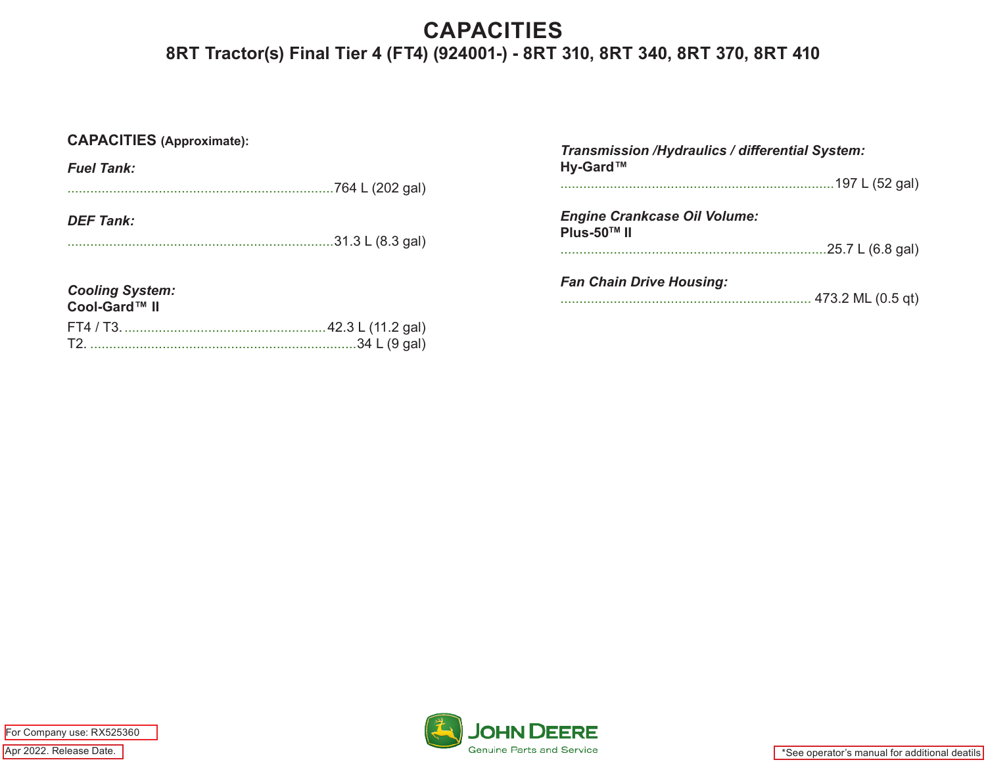# **CAPACITIES 8RT Tractor(s) Final Tier 4 (FT4) (924001-) - 8RT 310, 8RT 340, 8RT 370, 8RT 410**

| <b>CAPACITIES (Approximate):</b> |  | Transmission /Hydraulics / differential System:<br>Hy-Gard™ |  |
|----------------------------------|--|-------------------------------------------------------------|--|
| <b>Fuel Tank:</b>                |  |                                                             |  |
|                                  |  |                                                             |  |
| <b>DEF Tank:</b>                 |  | <b>Engine Crankcase Oil Volume:</b><br>Plus-50™ II          |  |
|                                  |  |                                                             |  |
| <b>Cooling System:</b>           |  | <b>Fan Chain Drive Housing:</b>                             |  |
| Cool-Gard™ II                    |  | . 473.2 ML (0.5 qt)                                         |  |
|                                  |  |                                                             |  |
|                                  |  |                                                             |  |